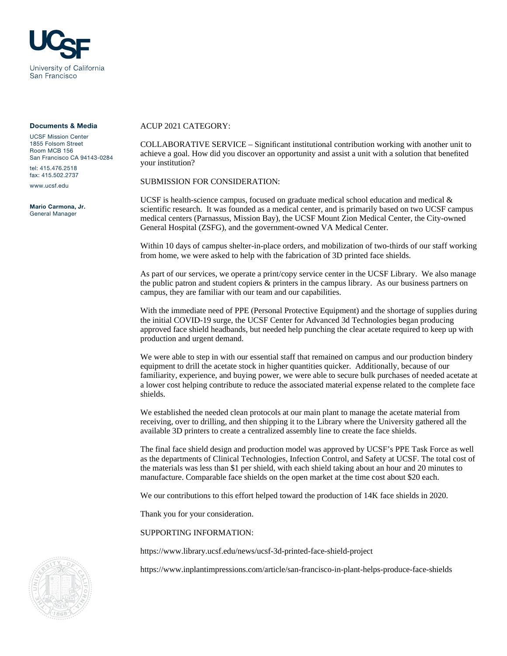

## Documents & Media

UCSF Mission Center 1855 Folsom Street Room MCB 156 San Francisco CA 94143-0284 tel: 415.476.2518

fax: 415.502.2737

www.ucsf.edu

Mario Carmona, Jr. General Manager

## ACUP 2021 CATEGORY:

COLLABORATIVE SERVICE – Significant institutional contribution working with another unit to achieve a goal. How did you discover an opportunity and assist a unit with a solution that benefited your institution?

SUBMISSION FOR CONSIDERATION:

UCSF is health-science campus, focused on graduate medical school education and medical  $\&$ scientific research. It was founded as a medical center, and is primarily based on two UCSF campus medical centers (Parnassus, Mission Bay), the UCSF Mount Zion Medical Center, the City-owned General Hospital (ZSFG), and the government-owned VA Medical Center.

Within 10 days of campus shelter-in-place orders, and mobilization of two-thirds of our staff working from home, we were asked to help with the fabrication of 3D printed face shields.

As part of our services, we operate a print/copy service center in the UCSF Library. We also manage the public patron and student copiers & printers in the campus library. As our business partners on campus, they are familiar with our team and our capabilities.

With the immediate need of PPE (Personal Protective Equipment) and the shortage of supplies during the initial COVID-19 surge, the UCSF Center for Advanced 3d Technologies began producing approved face shield headbands, but needed help punching the clear acetate required to keep up with production and urgent demand.

We were able to step in with our essential staff that remained on campus and our production bindery equipment to drill the acetate stock in higher quantities quicker. Additionally, because of our familiarity, experience, and buying power, we were able to secure bulk purchases of needed acetate at a lower cost helping contribute to reduce the associated material expense related to the complete face shields.

We established the needed clean protocols at our main plant to manage the acetate material from receiving, over to drilling, and then shipping it to the Library where the University gathered all the available 3D printers to create a centralized assembly line to create the face shields.

The final face shield design and production model was approved by UCSF's PPE Task Force as well as the departments of Clinical Technologies, Infection Control, and Safety at UCSF. The total cost of the materials was less than \$1 per shield, with each shield taking about an hour and 20 minutes to manufacture. Comparable face shields on the open market at the time cost about \$20 each.

We our contributions to this effort helped toward the production of 14K face shields in 2020.

Thank you for your consideration.

SUPPORTING INFORMATION:

<https://www.library.ucsf.edu/news/ucsf-3d-printed-face-shield-project>

<https://www.inplantimpressions.com/article/san-francisco-in-plant-helps-produce-face-shields>